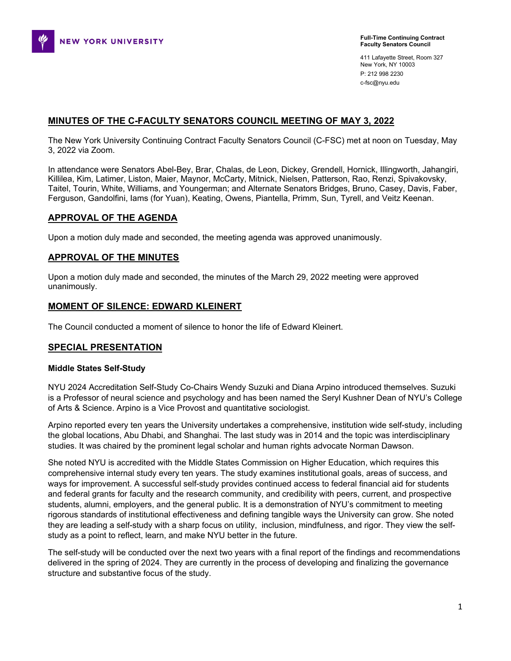

411 Lafayette Street, Room 327 New York, NY 10003 P: 212 998 2230 c-fsc@nyu.edu

## **MINUTES OF THE C-FACULTY SENATORS COUNCIL MEETING OF MAY 3, 2022**

The New York University Continuing Contract Faculty Senators Council (C-FSC) met at noon on Tuesday, May 3, 2022 via Zoom.

In attendance were Senators Abel-Bey, Brar, Chalas, de Leon, Dickey, Grendell, Hornick, Illingworth, Jahangiri, Killilea, Kim, Latimer, Liston, Maier, Maynor, McCarty, Mitnick, Nielsen, Patterson, Rao, Renzi, Spivakovsky, Taitel, Tourin, White, Williams, and Youngerman; and Alternate Senators Bridges, Bruno, Casey, Davis, Faber, Ferguson, Gandolfini, Iams (for Yuan), Keating, Owens, Piantella, Primm, Sun, Tyrell, and Veitz Keenan.

### **APPROVAL OF THE AGENDA**

Upon a motion duly made and seconded, the meeting agenda was approved unanimously.

## **APPROVAL OF THE MINUTES**

Upon a motion duly made and seconded, the minutes of the March 29, 2022 meeting were approved unanimously.

### **MOMENT OF SILENCE: EDWARD KLEINERT**

The Council conducted a moment of silence to honor the life of Edward Kleinert.

### **SPECIAL PRESENTATION**

#### **Middle States Self-Study**

NYU 2024 Accreditation Self-Study Co-Chairs Wendy Suzuki and Diana Arpino introduced themselves. Suzuki is a Professor of neural science and psychology and has been named the Seryl Kushner Dean of NYU's College of Arts & Science. Arpino is a Vice Provost and quantitative sociologist.

Arpino reported every ten years the University undertakes a comprehensive, institution wide self-study, including the global locations, Abu Dhabi, and Shanghai. The last study was in 2014 and the topic was interdisciplinary studies. It was chaired by the prominent legal scholar and human rights advocate Norman Dawson.

She noted NYU is accredited with the Middle States Commission on Higher Education, which requires this comprehensive internal study every ten years. The study examines institutional goals, areas of success, and ways for improvement. A successful self-study provides continued access to federal financial aid for students and federal grants for faculty and the research community, and credibility with peers, current, and prospective students, alumni, employers, and the general public. It is a demonstration of NYU's commitment to meeting rigorous standards of institutional effectiveness and defining tangible ways the University can grow. She noted they are leading a self-study with a sharp focus on utility, inclusion, mindfulness, and rigor. They view the selfstudy as a point to reflect, learn, and make NYU better in the future.

The self-study will be conducted over the next two years with a final report of the findings and recommendations delivered in the spring of 2024. They are currently in the process of developing and finalizing the governance structure and substantive focus of the study.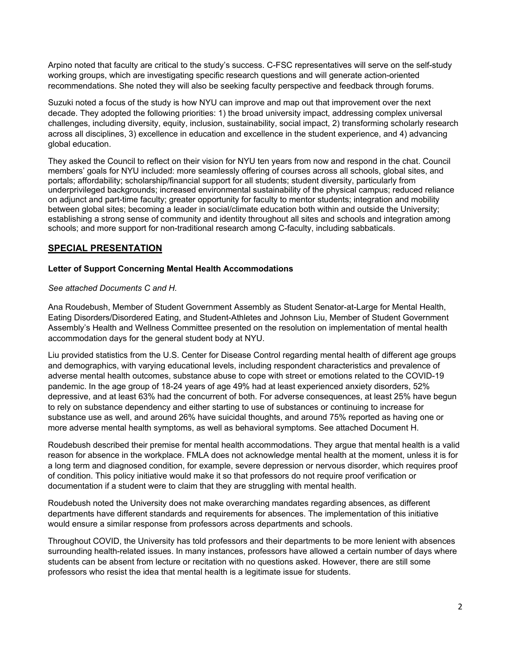Arpino noted that faculty are critical to the study's success. C-FSC representatives will serve on the self-study working groups, which are investigating specific research questions and will generate action-oriented recommendations. She noted they will also be seeking faculty perspective and feedback through forums.

Suzuki noted a focus of the study is how NYU can improve and map out that improvement over the next decade. They adopted the following priorities: 1) the broad university impact, addressing complex universal challenges, including diversity, equity, inclusion, sustainability, social impact, 2) transforming scholarly research across all disciplines, 3) excellence in education and excellence in the student experience, and 4) advancing global education.

They asked the Council to reflect on their vision for NYU ten years from now and respond in the chat. Council members' goals for NYU included: more seamlessly offering of courses across all schools, global sites, and portals; affordability; scholarship/financial support for all students; student diversity, particularly from underprivileged backgrounds; increased environmental sustainability of the physical campus; reduced reliance on adjunct and part-time faculty; greater opportunity for faculty to mentor students; integration and mobility between global sites; becoming a leader in social/climate education both within and outside the University; establishing a strong sense of community and identity throughout all sites and schools and integration among schools; and more support for non-traditional research among C-faculty, including sabbaticals.

# **SPECIAL PRESENTATION**

# **Letter of Support Concerning Mental Health Accommodations**

### *See attached Documents C and H.*

Ana Roudebush, Member of Student Government Assembly as Student Senator-at-Large for Mental Health, Eating Disorders/Disordered Eating, and Student-Athletes and Johnson Liu, Member of Student Government Assembly's Health and Wellness Committee presented on the resolution on implementation of mental health accommodation days for the general student body at NYU.

Liu provided statistics from the U.S. Center for Disease Control regarding mental health of different age groups and demographics, with varying educational levels, including respondent characteristics and prevalence of adverse mental health outcomes, substance abuse to cope with street or emotions related to the COVID-19 pandemic. In the age group of 18-24 years of age 49% had at least experienced anxiety disorders, 52% depressive, and at least 63% had the concurrent of both. For adverse consequences, at least 25% have begun to rely on substance dependency and either starting to use of substances or continuing to increase for substance use as well, and around 26% have suicidal thoughts, and around 75% reported as having one or more adverse mental health symptoms, as well as behavioral symptoms. See attached Document H.

Roudebush described their premise for mental health accommodations. They argue that mental health is a valid reason for absence in the workplace. FMLA does not acknowledge mental health at the moment, unless it is for a long term and diagnosed condition, for example, severe depression or nervous disorder, which requires proof of condition. This policy initiative would make it so that professors do not require proof verification or documentation if a student were to claim that they are struggling with mental health.

Roudebush noted the University does not make overarching mandates regarding absences, as different departments have different standards and requirements for absences. The implementation of this initiative would ensure a similar response from professors across departments and schools.

Throughout COVID, the University has told professors and their departments to be more lenient with absences surrounding health-related issues. In many instances, professors have allowed a certain number of days where students can be absent from lecture or recitation with no questions asked. However, there are still some professors who resist the idea that mental health is a legitimate issue for students.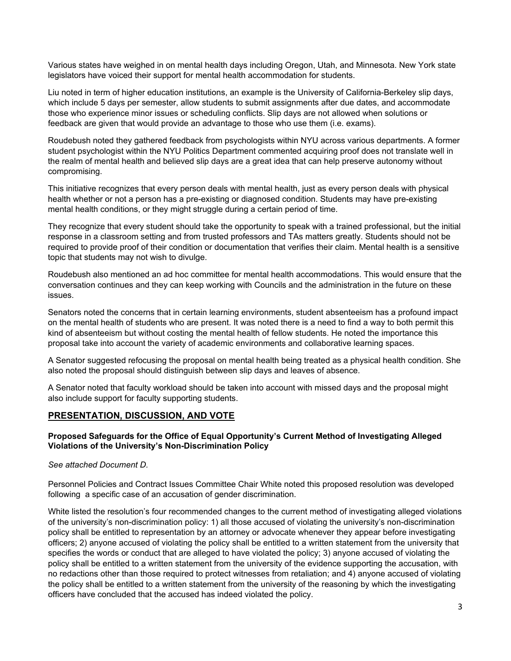Various states have weighed in on mental health days including Oregon, Utah, and Minnesota. New York state legislators have voiced their support for mental health accommodation for students.

Liu noted in term of higher education institutions, an example is the University of California-Berkeley slip days, which include 5 days per semester, allow students to submit assignments after due dates, and accommodate those who experience minor issues or scheduling conflicts. Slip days are not allowed when solutions or feedback are given that would provide an advantage to those who use them (i.e. exams).

Roudebush noted they gathered feedback from psychologists within NYU across various departments. A former student psychologist within the NYU Politics Department commented acquiring proof does not translate well in the realm of mental health and believed slip days are a great idea that can help preserve autonomy without compromising.

This initiative recognizes that every person deals with mental health, just as every person deals with physical health whether or not a person has a pre-existing or diagnosed condition. Students may have pre-existing mental health conditions, or they might struggle during a certain period of time.

They recognize that every student should take the opportunity to speak with a trained professional, but the initial response in a classroom setting and from trusted professors and TAs matters greatly. Students should not be required to provide proof of their condition or documentation that verifies their claim. Mental health is a sensitive topic that students may not wish to divulge.

Roudebush also mentioned an ad hoc committee for mental health accommodations. This would ensure that the conversation continues and they can keep working with Councils and the administration in the future on these issues.

Senators noted the concerns that in certain learning environments, student absenteeism has a profound impact on the mental health of students who are present. It was noted there is a need to find a way to both permit this kind of absenteeism but without costing the mental health of fellow students. He noted the importance this proposal take into account the variety of academic environments and collaborative learning spaces.

A Senator suggested refocusing the proposal on mental health being treated as a physical health condition. She also noted the proposal should distinguish between slip days and leaves of absence.

A Senator noted that faculty workload should be taken into account with missed days and the proposal might also include support for faculty supporting students.

### **PRESENTATION, DISCUSSION, AND VOTE**

#### **Proposed Safeguards for the Office of Equal Opportunity's Current Method of Investigating Alleged Violations of the University's Non-Discrimination Policy**

#### *See attached Document D.*

Personnel Policies and Contract Issues Committee Chair White noted this proposed resolution was developed following a specific case of an accusation of gender discrimination.

White listed the resolution's four recommended changes to the current method of investigating alleged violations of the university's non-discrimination policy: 1) all those accused of violating the university's non-discrimination policy shall be entitled to representation by an attorney or advocate whenever they appear before investigating officers; 2) anyone accused of violating the policy shall be entitled to a written statement from the university that specifies the words or conduct that are alleged to have violated the policy; 3) anyone accused of violating the policy shall be entitled to a written statement from the university of the evidence supporting the accusation, with no redactions other than those required to protect witnesses from retaliation; and 4) anyone accused of violating the policy shall be entitled to a written statement from the university of the reasoning by which the investigating officers have concluded that the accused has indeed violated the policy.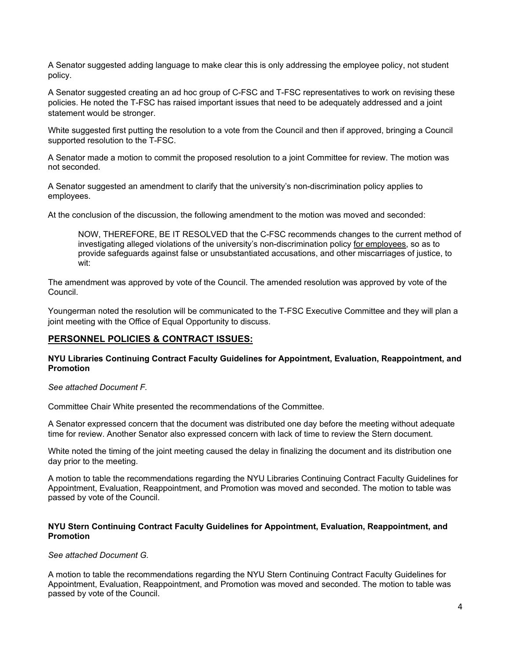A Senator suggested adding language to make clear this is only addressing the employee policy, not student policy.

A Senator suggested creating an ad hoc group of C-FSC and T-FSC representatives to work on revising these policies. He noted the T-FSC has raised important issues that need to be adequately addressed and a joint statement would be stronger.

White suggested first putting the resolution to a vote from the Council and then if approved, bringing a Council supported resolution to the T-FSC.

A Senator made a motion to commit the proposed resolution to a joint Committee for review. The motion was not seconded.

A Senator suggested an amendment to clarify that the university's non-discrimination policy applies to employees.

At the conclusion of the discussion, the following amendment to the motion was moved and seconded:

NOW, THEREFORE, BE IT RESOLVED that the C-FSC recommends changes to the current method of investigating alleged violations of the university's non-discrimination policy for employees, so as to provide safeguards against false or unsubstantiated accusations, and other miscarriages of justice, to wit:

The amendment was approved by vote of the Council. The amended resolution was approved by vote of the Council.

Youngerman noted the resolution will be communicated to the T-FSC Executive Committee and they will plan a joint meeting with the Office of Equal Opportunity to discuss.

### **PERSONNEL POLICIES & CONTRACT ISSUES:**

#### **NYU Libraries Continuing Contract Faculty Guidelines for Appointment, Evaluation, Reappointment, and Promotion**

#### *See attached Document F.*

Committee Chair White presented the recommendations of the Committee.

A Senator expressed concern that the document was distributed one day before the meeting without adequate time for review. Another Senator also expressed concern with lack of time to review the Stern document.

White noted the timing of the joint meeting caused the delay in finalizing the document and its distribution one day prior to the meeting.

A motion to table the recommendations regarding the NYU Libraries Continuing Contract Faculty Guidelines for Appointment, Evaluation, Reappointment, and Promotion was moved and seconded. The motion to table was passed by vote of the Council.

#### **NYU Stern Continuing Contract Faculty Guidelines for Appointment, Evaluation, Reappointment, and Promotion**

#### *See attached Document G.*

A motion to table the recommendations regarding the NYU Stern Continuing Contract Faculty Guidelines for Appointment, Evaluation, Reappointment, and Promotion was moved and seconded. The motion to table was passed by vote of the Council.